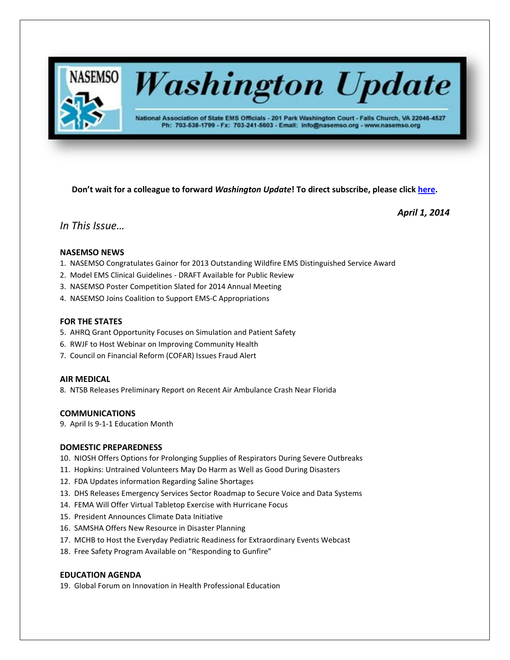

# **Washington Update**

National Association of State EMS Officials - 201 Park Washington Court - Falls Church, VA 22046-4527 Ph: 703-538-1799 - Fx: 703-241-5603 - Email: info@nasemso.org - www.nasemso.org

**Don't wait for a colleague to forward** *Washington Update***! To direct subscribe, please click [here.](http://lists.nasemso.org/read/all_forums/subscribe?name=wu%20)**

*April 1, 2014*

# *In This Issue…*

# **NASEMSO NEWS**

- 1. NASEMSO Congratulates Gainor for 2013 Outstanding Wildfire EMS Distinguished Service Award
- 2. Model EMS Clinical Guidelines DRAFT Available for Public Review
- 3. NASEMSO Poster Competition Slated for 2014 Annual Meeting
- 4. NASEMSO Joins Coalition to Support EMS-C Appropriations

# **FOR THE STATES**

- 5. AHRQ Grant Opportunity Focuses on Simulation and Patient Safety
- 6. RWJF to Host Webinar on Improving Community Health
- 7. Council on Financial Reform (COFAR) Issues Fraud Alert

# **AIR MEDICAL**

8. NTSB Releases Preliminary Report on Recent Air Ambulance Crash Near Florida

# **COMMUNICATIONS**

9. April Is 9-1-1 Education Month

# **DOMESTIC PREPAREDNESS**

- 10. NIOSH Offers Options for Prolonging Supplies of Respirators During Severe Outbreaks
- 11. Hopkins: Untrained Volunteers May Do Harm as Well as Good During Disasters
- 12. FDA Updates information Regarding Saline Shortages
- 13. DHS Releases Emergency Services Sector Roadmap to Secure Voice and Data Systems
- 14. FEMA Will Offer Virtual Tabletop Exercise with Hurricane Focus
- 15. President Announces Climate Data Initiative
- 16. SAMSHA Offers New Resource in Disaster Planning
- 17. MCHB to Host the Everyday Pediatric Readiness for Extraordinary Events Webcast
- 18. Free Safety Program Available on "Responding to Gunfire"

# **EDUCATION AGENDA**

19. Global Forum on Innovation in Health Professional Education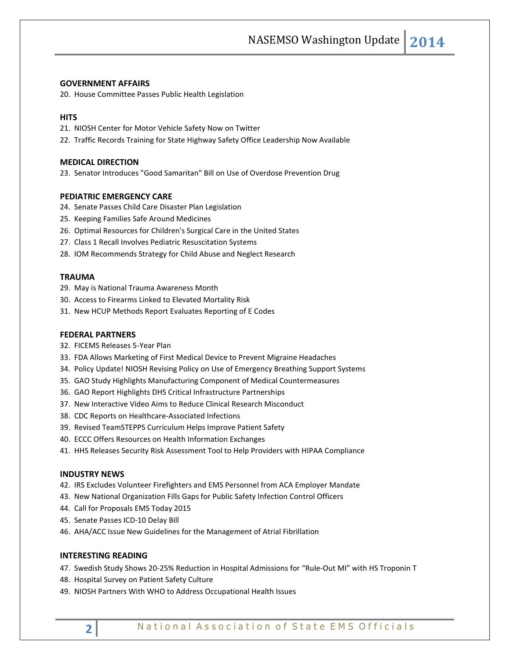## **GOVERNMENT AFFAIRS**

20. House Committee Passes Public Health Legislation

# **HITS**

21. NIOSH Center for Motor Vehicle Safety Now on Twitter

22. Traffic Records Training for State Highway Safety Office Leadership Now Available

## **MEDICAL DIRECTION**

23. Senator Introduces "Good Samaritan" Bill on Use of Overdose Prevention Drug

# **PEDIATRIC EMERGENCY CARE**

- 24. Senate Passes Child Care Disaster Plan Legislation
- 25. Keeping Families Safe Around Medicines
- 26. Optimal Resources for Children's Surgical Care in the United States
- 27. Class 1 Recall Involves Pediatric Resuscitation Systems
- 28. IOM Recommends Strategy for Child Abuse and Neglect Research

#### **TRAUMA**

- 29. May is National Trauma Awareness Month
- 30. Access to Firearms Linked to Elevated Mortality Risk
- 31. New HCUP Methods Report Evaluates Reporting of E Codes

## **FEDERAL PARTNERS**

- 32. FICEMS Releases 5-Year Plan
- 33. FDA Allows Marketing of First Medical Device to Prevent Migraine Headaches
- 34. Policy Update! NIOSH Revising Policy on Use of Emergency Breathing Support Systems
- 35. GAO Study Highlights Manufacturing Component of Medical Countermeasures
- 36. GAO Report Highlights DHS Critical Infrastructure Partnerships
- 37. New Interactive Video Aims to Reduce Clinical Research Misconduct
- 38. CDC Reports on Healthcare-Associated Infections
- 39. Revised TeamSTEPPS Curriculum Helps Improve Patient Safety
- 40. ECCC Offers Resources on Health Information Exchanges
- 41. HHS Releases Security Risk Assessment Tool to Help Providers with HIPAA Compliance

#### **INDUSTRY NEWS**

- 42. IRS Excludes Volunteer Firefighters and EMS Personnel from ACA Employer Mandate
- 43. New National Organization Fills Gaps for Public Safety Infection Control Officers
- 44. Call for Proposals EMS Today 2015
- 45. Senate Passes ICD-10 Delay Bill
- 46. AHA/ACC Issue New Guidelines for the Management of Atrial Fibrillation

# **INTERESTING READING**

- 47. Swedish Study Shows 20-25% Reduction in Hospital Admissions for "Rule-Out MI" with HS Troponin T
- 48. Hospital Survey on Patient Safety Culture
- 49. NIOSH Partners With WHO to Address Occupational Health Issues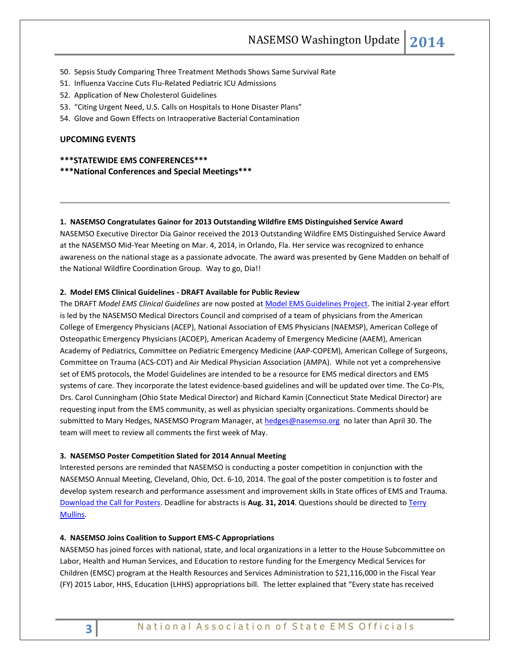- 50. Sepsis Study Comparing Three Treatment Methods Shows Same Survival Rate
- 51. Influenza Vaccine Cuts Flu-Related Pediatric ICU Admissions
- 52. Application of New Cholesterol Guidelines
- 53. "Citing Urgent Need, U.S. Calls on Hospitals to Hone Disaster Plans"
- 54. Glove and Gown Effects on Intraoperative Bacterial Contamination

# **UPCOMING EVENTS**

# **\*\*\*STATEWIDE EMS CONFERENCES\*\*\***

**\*\*\*National Conferences and Special Meetings\*\*\***

## **1. NASEMSO Congratulates Gainor for 2013 Outstanding Wildfire EMS Distinguished Service Award**

NASEMSO Executive Director Dia Gainor received the 2013 Outstanding Wildfire EMS Distinguished Service Award at the NASEMSO Mid-Year Meeting on Mar. 4, 2014, in Orlando, Fla. Her service was recognized to enhance awareness on the national stage as a passionate advocate. The award was presented by Gene Madden on behalf of the National Wildfire Coordination Group. Way to go, Dia!!

# **2. Model EMS Clinical Guidelines - DRAFT Available for Public Review**

The DRAFT *Model EMS Clinical Guidelines* are now posted a[t Model EMS Guidelines Project.](http://www.nasemso.org/Projects/ModelEMSClinicalGuidelines/index.asp) The initial 2-year effort is led by the NASEMSO Medical Directors Council and comprised of a team of physicians from the American College of Emergency Physicians (ACEP), National Association of EMS Physicians (NAEMSP), American College of Osteopathic Emergency Physicians (ACOEP), American Academy of Emergency Medicine (AAEM), American Academy of Pediatrics, Committee on Pediatric Emergency Medicine (AAP-COPEM), American College of Surgeons, Committee on Trauma (ACS-COT) and Air Medical Physician Association (AMPA). While not yet a comprehensive set of EMS protocols, the Model Guidelines are intended to be a resource for EMS medical directors and EMS systems of care. They incorporate the latest evidence-based guidelines and will be updated over time. The Co-PIs, Drs. Carol Cunningham (Ohio State Medical Director) and Richard Kamin (Connecticut State Medical Director) are requesting input from the EMS community, as well as physician specialty organizations. Comments should be submitted to Mary Hedges, NASEMSO Program Manager, at [hedges@nasemso.org](mailto:hedges@nasemso.org) no later than April 30. The team will meet to review all comments the first week of May.

#### **3. NASEMSO Poster Competition Slated for 2014 Annual Meeting**

Interested persons are reminded that NASEMSO is conducting a poster competition in conjunction with the NASEMSO Annual Meeting, Cleveland, Ohio, Oct. 6-10, 2014. The goal of the poster competition is to foster and develop system research and performance assessment and improvement skills in State offices of EMS and Trauma. [Download the Call for Posters.](http://www.nasemso.org/Meetings/Annual/documents/NASEMSO-2014-Call-for-Posters.pdf) Deadline for abstracts is **Aug. 31, 2014**. Questions should be directed to [Terry](mailto:terry.mullins@azdhs.gov) [Mullins.](mailto:terry.mullins@azdhs.gov)

## **4. NASEMSO Joins Coalition to Support EMS-C Appropriations**

NASEMSO has joined forces with national, state, and local organizations in a letter to the House Subcommittee on Labor, Health and Human Services, and Education to restore funding for the Emergency Medical Services for Children (EMSC) program at the Health Resources and Services Administration to \$21,116,000 in the Fiscal Year (FY) 2015 Labor, HHS, Education (LHHS) appropriations bill. The letter explained that "Every state has received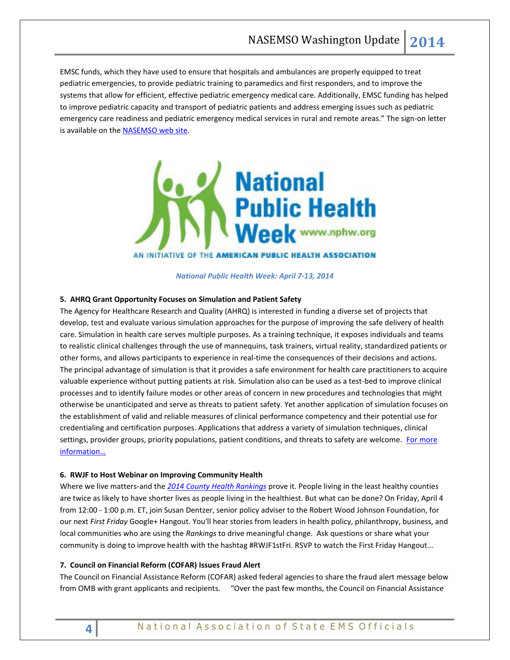EMSC funds, which they have used to ensure that hospitals and ambulances are properly equipped to treat pediatric emergencies, to provide pediatric training to paramedics and first responders, and to improve the systems that allow for efficient, effective pediatric emergency medical care. Additionally, EMSC funding has helped to improve pediatric capacity and transport of pediatric patients and address emerging issues such as pediatric emergency care readiness and pediatric emergency medical services in rural and remote areas." The sign-on letter is available on th[e NASEMSO web site.](http://www.nasemso.org/Advocacy/Supported/index.asp)



*National Public Health Week: April 7-13, 2014*

# **5. AHRQ Grant Opportunity Focuses on Simulation and Patient Safety**

The Agency for Healthcare Research and Quality (AHRQ) is interested in funding a diverse set of projects that develop, test and evaluate various simulation approaches for the purpose of improving the safe delivery of health care. Simulation in health care serves multiple purposes. As a training technique, it exposes individuals and teams to realistic clinical challenges through the use of mannequins, task trainers, virtual reality, standardized patients or other forms, and allows participants to experience in real-time the consequences of their decisions and actions. The principal advantage of simulation is that it provides a safe environment for health care practitioners to acquire valuable experience without putting patients at risk. Simulation also can be used as a test-bed to improve clinical processes and to identify failure modes or other areas of concern in new procedures and technologies that might otherwise be unanticipated and serve as threats to patient safety. Yet another application of simulation focuses on the establishment of valid and reliable measures of clinical performance competency and their potential use for credentialing and certification purposes. Applications that address a variety of simulation techniques, clinical settings, provider groups, priority populations, patient conditions, and threats to safety are welcome. For more [information…](http://www.grants.gov/web/grants/view-opportunity.html?oppId=248073)

## **6. RWJF to Host Webinar on Improving Community Health**

Where we live matters-and the *[2014 County Health Rankings](http://www.rwjf.org/en/about-rwjf/newsroom/features-and-articles/county-health-rankings---roadmaps.html?cid=xem_a8123&cm_ven=ExactTarget&cm_cat=How+Healthy+is+Your+County&cm_pla=Topics+COB%2c+HC%2c+NURS%2c+PIO%2c+PH%2c+RE%2c+QE%2c+VP&cm_ite=http%3a%2f%2fwww.rwjf.org%2fen%2fabout-rwjf%2fnewsroom%2ffeatures-and-articles%2fcounty-health-rankings---roadmaps.html)* prove it. People living in the least healthy counties are twice as likely to have shorter lives as people living in the healthiest. But what can be done? On Friday, April 4 from 12:00 - 1:00 p.m. ET, join Susan Dentzer, senior policy adviser to the Robert Wood Johnson Foundation, for our next *First Friday* Google+ Hangout. You'll hear stories from leaders in health policy, philanthropy, business, and local communities who are using the *Rankings* to drive meaningful change. Ask questions or share what your community is doing to improve health with the hashtag #RWJF1stFri. [RSVP to watch the First Friday Hangout...](http://click.rwjfmail.org/?qs=3077ebf5f657564de730d80cc278523e2803aaedb79b6d79e5c7183aee33fad1b944a8943c8ff1e8)

#### **7. Council on Financial Reform (COFAR) Issues Fraud Alert**

The Council on Financial Assistance Reform (COFAR) asked federal agencies to share the fraud alert message below from OMB with grant applicants and recipients. "Over the past few months, the Council on Financial Assistance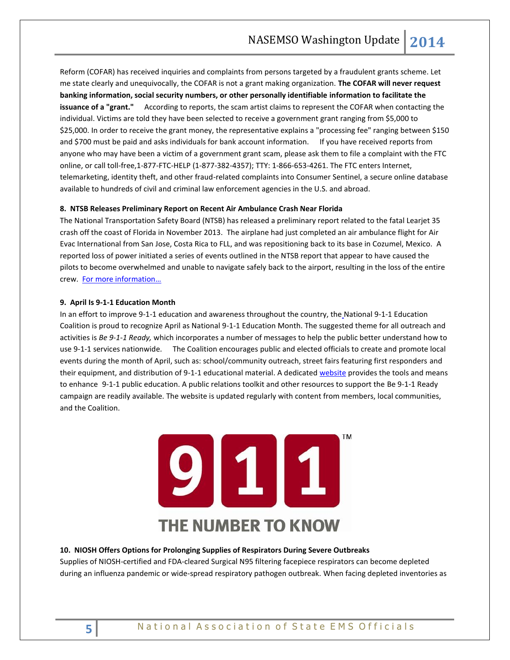Reform (COFAR) has received inquiries and complaints from persons targeted by a fraudulent grants scheme. Let me state clearly and unequivocally, the COFAR is not a grant making organization. **The COFAR will never request banking information, social security numbers, or other personally identifiable information to facilitate the issuance of a "grant."** According to reports, the scam artist claims to represent the COFAR when contacting the individual. Victims are told they have been selected to receive a government grant ranging from \$5,000 to \$25,000. In order to receive the grant money, the representative explains a "processing fee" ranging between \$150 and \$700 must be paid and asks individuals for bank account information. If you have received reports from anyone who may have been a victim of a government grant scam, please ask them to file a complaint with the FTC online, or call toll-free,1-877-FTC-HELP (1-877-382-4357); TTY: 1-866-653-4261. The FTC enters Internet, telemarketing, identity theft, and other fraud-related complaints into Consumer Sentinel, a secure online database available to hundreds of civil and criminal law enforcement agencies in the U.S. and abroad.

## **8. NTSB Releases Preliminary Report on Recent Air Ambulance Crash Near Florida**

The National Transportation Safety Board (NTSB) has released a preliminary report related to the fatal Learjet 35 crash off the coast of Florida in November 2013. The airplane had just completed an air ambulance flight for Air Evac International from San Jose, Costa Rica to FLL, and was repositioning back to its base in Cozumel, Mexico. A reported loss of power initiated a series of events outlined in the NTSB report that appear to have caused the pilots to become overwhelmed and unable to navigate safely back to the airport, resulting in the loss of the entire crew. [For more information…](http://www.ntsb.gov/aviationquery/brief.aspx?ev_id=20131120X80518)

# **9. April Is 9-1-1 Education Month**

In an effort to improve 9-1-1 education and awareness throughout the country, the National 9-1-1 Education Coalition is proud to recognize April as National 9-1-1 Education Month. The suggested theme for all outreach and activities is *Be 9-1-1 Ready,* which incorporates a number of messages to help the public better understand how to use 9-1-1 services nationwide*.* The Coalition encourages public and elected officials to create and promote local events during the month of April, such as: school/community outreach, street fairs featuring first responders and their equipment, and distribution of 9-1-1 educational material. A dedicate[d website](http://www.know911.org/) provides the tools and means to enhance 9-1-1 public education. A public relations toolkit and other resources to support the Be 9-1-1 Ready campaign are readily available. The website is updated regularly with content from members, local communities, and the Coalition.



#### **10. NIOSH Offers Options for Prolonging Supplies of Respirators During Severe Outbreaks**

Supplies of NIOSH-certified and FDA-cleared Surgical N95 filtering facepiece respirators can become depleted during an influenza pandemic or wide-spread respiratory pathogen outbreak. When facing depleted inventories as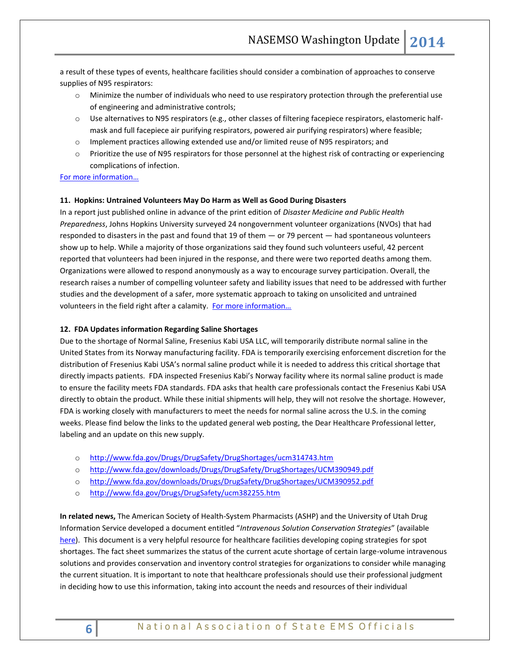a result of these types of events, healthcare facilities should consider a combination of approaches to conserve supplies of N95 respirators:

- o Minimize the number of individuals who need to use respiratory protection through the preferential use of engineering and administrative controls;
- o Use alternatives to N95 respirators (e.g., other classes of filtering facepiece respirators, elastomeric halfmask and full facepiece air purifying respirators, powered air purifying respirators) where feasible;
- o Implement practices allowing extended use and/or limited reuse of N95 respirators; and
- o Prioritize the use of N95 respirators for those personnel at the highest risk of contracting or experiencing complications of infection.

## [For more information…](http://www.cdc.gov/niosh/topics/hcwcontrols/RecommendedGuidanceExtUse.html)

#### **11. Hopkins: Untrained Volunteers May Do Harm as Well as Good During Disasters**

In a report just published online in advance of the print edition of *Disaster Medicine and Public Health Preparedness*, Johns Hopkins University surveyed 24 nongovernment volunteer organizations (NVOs) that had responded to disasters in the past and found that 19 of them — or 79 percent — had spontaneous volunteers show up to help. While a majority of those organizations said they found such volunteers useful, 42 percent reported that volunteers had been injured in the response, and there were two reported deaths among them. Organizations were allowed to respond anonymously as a way to encourage survey participation. Overall, the research raises a number of compelling volunteer safety and liability issues that need to be addressed with further studies and the development of a safer, more systematic approach to taking on unsolicited and untrained volunteers in the field right after a calamity. For more information...

#### **12. FDA Updates information Regarding Saline Shortages**

Due to the shortage of Normal Saline, Fresenius Kabi USA LLC, will temporarily distribute normal saline in the United States from its Norway manufacturing facility. FDA is temporarily exercising enforcement discretion for the distribution of Fresenius Kabi USA's normal saline product while it is needed to address this critical shortage that directly impacts patients. FDA inspected Fresenius Kabi's Norway facility where its normal saline product is made to ensure the facility meets FDA standards. FDA asks that health care professionals contact the Fresenius Kabi USA directly to obtain the product. While these initial shipments will help, they will not resolve the shortage. However, FDA is working closely with manufacturers to meet the needs for normal saline across the U.S. in the coming weeks. Please find below the links to the updated general web posting, the Dear Healthcare Professional letter, labeling and an update on this new supply.

- o <http://www.fda.gov/Drugs/DrugSafety/DrugShortages/ucm314743.htm>
- o <http://www.fda.gov/downloads/Drugs/DrugSafety/DrugShortages/UCM390949.pdf>
- o <http://www.fda.gov/downloads/Drugs/DrugSafety/DrugShortages/UCM390952.pdf>
- o <http://www.fda.gov/Drugs/DrugSafety/ucm382255.htm>

**In related news,** The American Society of Health-System Pharmacists (ASHP) and the University of Utah Drug Information Service developed a document entitled "*Intravenous Solution Conservation Strategies*" (available [here\)](http://www.ashp.org/DocLibrary/Policy/Conservation-Strategies-for-IV-Fluids.pdf). This document is a very helpful resource for healthcare facilities developing coping strategies for spot shortages. The fact sheet summarizes the status of the current acute shortage of certain large-volume intravenous solutions and provides conservation and inventory control strategies for organizations to consider while managing the current situation. It is important to note that healthcare professionals should use their professional judgment in deciding how to use this information, taking into account the needs and resources of their individual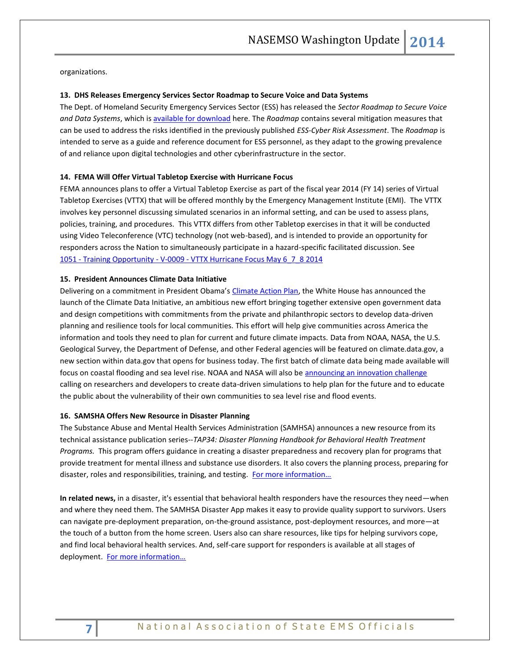organizations.

#### **13. DHS Releases Emergency Services Sector Roadmap to Secure Voice and Data Systems**

The Dept. of Homeland Security Emergency Services Sector (ESS) has released the *Sector Roadmap to Secure Voice and Data Systems*, which is [available for download](http://www.nasemso.org/documents/ESS-Roadmap-to-Secure-Voice-and-Data-Systems-24Mar2014.pdf) here. The *Roadmap* contains several mitigation measures that can be used to address the risks identified in the previously published *ESS-Cyber Risk Assessment*. The *Roadmap* is intended to serve as a guide and reference document for ESS personnel, as they adapt to the growing prevalence of and reliance upon digital technologies and other cyberinfrastructure in the sector.

## **14. FEMA Will Offer Virtual Tabletop Exercise with Hurricane Focus**

FEMA announces plans to offer a Virtual Tabletop Exercise as part of the fiscal year 2014 (FY 14) series of Virtual Tabletop Exercises (VTTX) that will be offered monthly by the Emergency Management Institute (EMI). The VTTX involves key personnel discussing simulated scenarios in an informal setting, and can be used to assess plans, policies, training, and procedures. This VTTX differs from other Tabletop exercises in that it will be conducted using Video Teleconference (VTC) technology (not web-based), and is intended to provide an opportunity for responders across the Nation to simultaneously participate in a hazard-specific facilitated discussion. See 1051 - Training Opportunity - V-0009 - [VTTX Hurricane Focus May 6\\_7\\_8 2014](http://links.govdelivery.com/track?type=click&enid=ZWFzPTEmbWFpbGluZ2lkPTIwMTQwMzA3LjI5ODExOTQxJm1lc3NhZ2VpZD1NREItUFJELUJVTC0yMDE0MDMwNy4yOTgxMTk0MSZkYXRhYmFzZWlkPTEwMDEmc2VyaWFsPTE3NDI0NjA3JmVtYWlsaWQ9cm9iaW5zb25AbmFzZW1zby5vcmcmdXNlcmlkPXJvYmluc29uQG5hc2Vtc28ub3JnJmZsPSZleHRyYT1NdWx0aXZhcmlhdGVJZD0mJiY=&&&102&&&http://training.fema.gov/EMIGrams/2014/1051%20-%20Training%20Opportunity%20-%20V-0009%20-%20VTTX%20Hurricane%20Focus%20May%206_7_8%202014.pdf)

## **15. President Announces Climate Data Initiative**

Delivering on a commitment in President Obama's [Climate Action Plan,](http://www.whitehouse.gov/share/climate-action-plan) the White House has announced the launch of the Climate Data Initiative, an ambitious new effort bringing together extensive open government data and design competitions with commitments from the private and philanthropic sectors to develop data-driven planning and resilience tools for local communities. This effort will help give communities across America the information and tools they need to plan for current and future climate impacts. Data from NOAA, NASA, the U.S. Geological Survey, the Department of Defense, and other Federal agencies will be featured on climate.data.gov, a new section within data.gov that opens for business today. The first batch of climate data being made available will focus on coastal flooding and sea level rise. NOAA and NASA will also be [announcing an innovation challenge](https://2014.spaceappschallenge.org/challenge/coastal-inundation/) calling on researchers and developers to create data-driven simulations to help plan for the future and to educate the public about the vulnerability of their own communities to sea level rise and flood events.

#### **16. SAMSHA Offers New Resource in Disaster Planning**

The Substance Abuse and Mental Health Services Administration (SAMHSA) announces a new resource from its technical assistance publication series--*TAP34: Disaster Planning Handbook for Behavioral Health Treatment Programs.* This program offers guidance in creating a disaster preparedness and recovery plan for programs that provide treatment for mental illness and substance use disorders. It also covers the planning process, preparing for disaster, roles and responsibilities, training, and testing. [For more information…](http://store.samhsa.gov/product/TAP-34-Disaster-Planning-Handbook-for-Behavioral-Health-Treatment-Programs/BackInStock/SMA13-4779?WT.mc_id=EB_20140318_SMA13-4779)

**In related news,** in a disaster, it's essential that behavioral health responders have the resources they need—when and where they need them. The SAMHSA Disaster App makes it easy to provide quality support to survivors. Users can navigate pre-deployment preparation, on-the-ground assistance, post-deployment resources, and more—at the touch of a button from the home screen. Users also can share resources, like tips for helping survivors cope, and find local behavioral health services. And, self-care support for responders is available at all stages of deployment. [For more information…](http://store.samhsa.gov/apps/disaster/)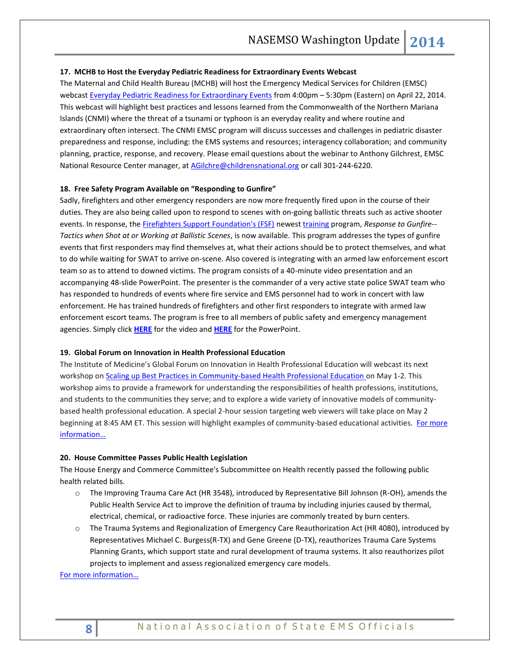## **17. MCHB to Host the Everyday Pediatric Readiness for Extraordinary Events Webcast**

The Maternal and Child Health Bureau (MCHB) will host the Emergency Medical Services for Children (EMSC) webcast [Everyday Pediatric Readiness for Extraordinary Events](http://click.bsftransmit1.com/ClickThru.aspx?pubids=8731%7c97265%7c703%7c702&digest=pbPyDJj50mFvZ3Qa%2bEZRRA&sysid=1) from 4:00pm - 5:30pm (Eastern) on April 22, 2014. This webcast will highlight best practices and lessons learned from the Commonwealth of the Northern Mariana Islands (CNMI) where the threat of a tsunami or typhoon is an everyday reality and where routine and extraordinary often intersect. The CNMI EMSC program will discuss successes and challenges in pediatric disaster preparedness and response, including: the EMS systems and resources; interagency collaboration; and community planning, practice, response, and recovery. Please email questions about the webinar to Anthony Gilchrest, EMSC National Resource Center manager, at [AGilchre@childrensnational.org](mailto:AGilchre@childrensnational.org) or call 301-244-6220.

#### **18. Free Safety Program Available on "Responding to Gunfire"**

Sadly, firefighters and other emergency responders are now more frequently fired upon in the course of their duties. They are also being called upon to respond to scenes with on-going ballistic threats such as active shooter events. In response, th[e Firefighters Support Foundation's \(FSF\)](http://www.fireengineering.com/training/ffsupport.html) newest [training](http://www.fireengineering.com/content/fe/en/training.html) program, *Response to Gunfire-- Tactics when Shot at or Working at Ballistic Scenes*, is now available. This program addresses the types of gunfire events that first responders may find themselves at, what their actions should be to protect themselves, and what to do while waiting for SWAT to arrive on-scene. Also covered is integrating with an armed law enforcement escort team so as to attend to downed victims. The program consists of a 40-minute video presentation and an accompanying 48-slide PowerPoint. The presenter is the commander of a very active state police SWAT team who has responded to hundreds of events where fire service and EMS personnel had to work in concert with law enforcement. He has trained hundreds of firefighters and other first responders to integrate with armed law enforcement escort teams. The program is free to all members of public safety and emergency management agencies. Simply click **[HERE](https://www.hightail.com/download/elNMbUpkR0ZoeWJOUjhUQw)** for the video and **[HERE](http://downloads.pennnet.com/fefsf/Response-to-gunfire.ppt)** for the PowerPoint.

## **19. Global Forum on Innovation in Health Professional Education**

The Institute of Medicine's Global Forum on Innovation in Health Professional Education will webcast its next workshop on Scaling up Best Practices in [Community-based Health Professional Education o](http://click.newsletters.nas.edu/?qs=5d8afe650062ecc5b4b5c77858625aa1c4543968a54314b639a2deb3837ff6dc77f6d8cc49af3dff)n May 1-2. This workshop aims to provide a framework for understanding the responsibilities of health professions, institutions, and students to the communities they serve; and to explore a wide variety of innovative models of communitybased health professional education. A special 2-hour session targeting web viewers will take place on May 2 beginning at 8:45 AM ET. This session will highlight examples of community-based educational activities. [For more](http://www.iom.edu/Activities/Global/InnovationHealthProfEducation.aspx)  [information…](http://www.iom.edu/Activities/Global/InnovationHealthProfEducation.aspx)

#### **20. House Committee Passes Public Health Legislation**

The House Energy and Commerce Committee's Subcommittee on Health recently passed the following public health related bills.

- o The Improving Trauma Care Act (HR 3548), introduced by Representative Bill Johnson (R-OH), amends the Public Health Service Act to improve the definition of trauma by including injuries caused by thermal, electrical, chemical, or radioactive force. These injuries are commonly treated by burn centers.
- o The Trauma Systems and Regionalization of Emergency Care Reauthorization Act (HR 4080), introduced by Representatives Michael C. Burgess(R-TX) and Gene Greene (D-TX), reauthorizes Trauma Care Systems Planning Grants, which support state and rural development of trauma systems. It also reauthorizes pilot projects to implement and assess regionalized emergency care models.

[For more information…](http://energycommerce.house.gov/markup/health-subcommittee-vote-hr-3548-hr-hr-1281-and-hr-1528)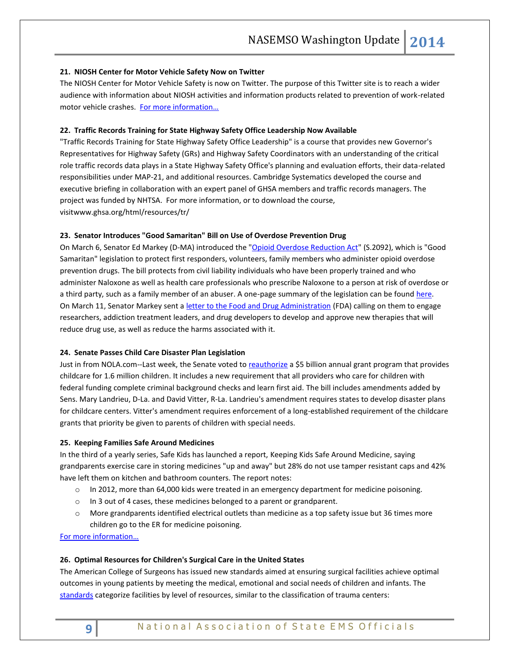# **21. NIOSH Center for Motor Vehicle Safety Now on Twitter**

The NIOSH Center for Motor Vehicle Safety is now on Twitter. The purpose of this Twitter site is to reach a wider audience with information about NIOSH activities and information products related to prevention of work-related motor vehicle crashes. For more information...

# **22. Traffic Records Training for State Highway Safety Office Leadership Now Available**

"Traffic Records Training for State Highway Safety Office Leadership" is a course that provides new Governor's Representatives for Highway Safety (GRs) and Highway Safety Coordinators with an understanding of the critical role traffic records data plays in a State Highway Safety Office's planning and evaluation efforts, their data-related responsibilities under MAP-21, and additional resources. Cambridge Systematics developed the course and executive briefing in collaboration with an expert panel of GHSA members and traffic records managers. The project was funded by NHTSA. For more information, or to download the course, visitwww.ghsa.org/html/resources/tr/

## **23. Senator Introduces "Good Samaritan" Bill on Use of Overdose Prevention Drug**

On March 6, Senator Ed Markey (D-MA) [introduced](http://www.mmsend47.com/link.cfm?r=235034241&sid=34442860&m=3829950&u=NACCHO&j=17487174&s=http://www.markey.senate.gov/news/press-releases/markey-introduces-good-samaritan-legislation-to-protect-first-responders-volunteers-family-members-who-administer-opioid-overdose-prevention-drug) the ["Opioid Overdose Reduction Act"](http://www.markey.senate.gov/imo/media/doc/2014-03-05_OpiodOverdoseReductionAct.pdf) (S.2092), which is "Good Samaritan" legislation to protect first responders, volunteers, family members who administer opioid overdose prevention drugs. The bill protects from civil liability individuals who have been properly trained and who administer Naloxone as well as health care professionals who prescribe Naloxone to a person at risk of overdose or a third party, such as a family member of an abuser. A one-page summary of the legislation can be found [here.](http://www.markey.senate.gov/imo/media/doc/Opiod_ReductionAct_Summary.pdf) On March 11, Senator Markey sent a letter [to the Food and Drug Administration](http://www.markey.senate.gov/imo/media/doc/2014-3-7_Hamburg_FDA_overdoses.pdf) (FDA) calling on them to engage researchers, addiction treatment leaders, and drug developers to develop and approve new therapies that will reduce drug use, as well as reduce the harms associated with it.

## **24. Senate Passes Child Care Disaster Plan Legislation**

Just in from NOLA.com--Last week, the Senate voted to [reauthorize](http://thomas.loc.gov/cgi-bin/bdquery/z?d113:SN1086:) a \$5 billion annual grant program that provides childcare for 1.6 million children. It includes a new requirement that all providers who care for children with federal funding complete criminal background checks and learn first aid. The bill includes amendments added by Sens. Mary Landrieu, D-La. and David Vitter, R-La. Landrieu's amendment requires states to develop disaster plans for childcare centers. Vitter's amendment requires enforcement of a long-established requirement of the childcare grants that priority be given to parents of children with special needs.

## **25. Keeping Families Safe Around Medicines**

In the third of a yearly series, Safe Kids has launched a report, [Keeping Kids Safe Around Medicine,](http://r20.rs6.net/tn.jsp?f=001UmVd6Jrrmt4spoi9Rbo9eTwKPt8jrH_wqBz8W0dbXYgcwuY5TMZ0dBPaqJNkHMlT22zno2haEHBdVQMz80Qd2_a4leIHPWM_ebcPciRZqri-rWAPhsZ6iydIJows0Uh0XkLkXC_EPQZlYIX10G-hdhNIyvEnatv23brek9uesMCqENNWJ9Dw-LpY3G6JnBhbJtHSg0nRWm2ZoRAjVv77Xd8GM0RneFfSVwFQnEFVIpD-n7RUBNzIBj-zXMf0xKk2lFNY9RvSwubdMmDhMiR0Ow==&c=8ZYlRg92jeeebCTCce4hsRnywcpNsUogHSQZpOo7OOySrLeBkusIXA==&ch=XQ0-2IGMOhtwMI7MY87q_4JeKAi7M66aMJdBecog8HfJMt-dgyWptg==) saying grandparents exercise care in storing medicines "up and away" but 28% do not use tamper resistant caps and 42% have left them on kitchen and bathroom counters. The report notes:

- o In 2012, more than 64,000 kids were treated in an emergency department for medicine poisoning.
- o In 3 out of 4 cases, these medicines belonged to a parent or grandparent.
- o More grandparents identified electrical outlets than medicine as a top safety issue but 36 times more children go to the ER for medicine poisoning.

[For more information…](http://www.safekids.org/sites/default/files/research_reports/medicine_safety_study_2014.pdf)

## **26. Optimal Resources for Children's Surgical Care in the United States**

The American College of Surgeons has issued new standards aimed at ensuring surgical facilities achieve optimal outcomes in young patients by meeting the medical, emotional and social needs of children and infants. The [standards](http://www.journalacs.org/article/S1072-7515%2813%2901194-0/fulltext) categorize facilities by level of resources, similar to the classification of trauma centers: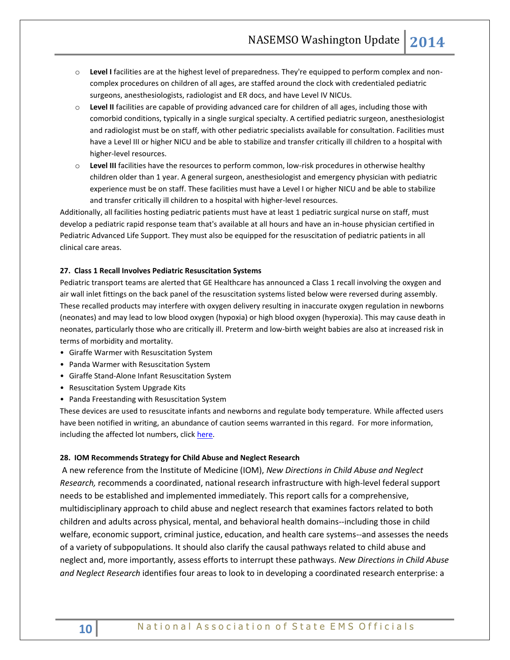- o **Level I** facilities are at the highest level of preparedness. They're equipped to perform complex and noncomplex procedures on children of all ages, are staffed around the clock with credentialed pediatric surgeons, anesthesiologists, radiologist and ER docs, and have Level IV NICUs.
- o **Level II** facilities are capable of providing advanced care for children of all ages, including those with comorbid conditions, typically in a single surgical specialty. A certified pediatric surgeon, anesthesiologist and radiologist must be on staff, with other pediatric specialists available for consultation. Facilities must have a Level III or higher NICU and be able to stabilize and transfer critically ill children to a hospital with higher-level resources.
- o **Level III** facilities have the resources to perform common, low-risk procedures in otherwise healthy children older than 1 year. A general surgeon, anesthesiologist and emergency physician with pediatric experience must be on staff. These facilities must have a Level I or higher NICU and be able to stabilize and transfer critically ill children to a hospital with higher-level resources.

Additionally, all facilities hosting pediatric patients must have at least 1 pediatric surgical nurse on staff, must develop a pediatric rapid response team that's available at all hours and have an in-house physician certified in Pediatric Advanced Life Support. They must also be equipped for the resuscitation of pediatric patients in all clinical care areas.

## **27. Class 1 Recall Involves Pediatric Resuscitation Systems**

Pediatric transport teams are alerted that GE Healthcare has announced a Class 1 recall involving the oxygen and air wall inlet fittings on the back panel of the resuscitation systems listed below were reversed during assembly. These recalled products may interfere with oxygen delivery resulting in inaccurate oxygen regulation in newborns (neonates) and may lead to low blood oxygen (hypoxia) or high blood oxygen (hyperoxia). This may cause death in neonates, particularly those who are critically ill. Preterm and low-birth weight babies are also at increased risk in terms of morbidity and mortality.

- Giraffe Warmer with Resuscitation System
- Panda Warmer with Resuscitation System
- Giraffe Stand-Alone Infant Resuscitation System
- Resuscitation System Upgrade Kits
- Panda Freestanding with Resuscitation System

These devices are used to resuscitate infants and newborns and regulate body temperature. While affected users have been notified in writing, an abundance of caution seems warranted in this regard. For more information, including the affected lot numbers, click [here.](http://www.fda.gov/MedicalDevices/Safety/ListofRecalls/ucm387700.htm)

# **28. IOM Recommends Strategy for Child Abuse and Neglect Research**

A new reference from the Institute of Medicine (IOM), *New Directions in Child Abuse and Neglect Research,* recommends a coordinated, national research infrastructure with high-level federal support needs to be established and implemented immediately. This report calls for a comprehensive, multidisciplinary approach to child abuse and neglect research that examines factors related to both children and adults across physical, mental, and behavioral health domains--including those in child welfare, economic support, criminal justice, education, and health care systems--and assesses the needs of a variety of subpopulations. It should also clarify the causal pathways related to child abuse and neglect and, more importantly, assess efforts to interrupt these pathways. *New Directions in Child Abuse and Neglect Research* identifies four areas to look to in developing a coordinated research enterprise: a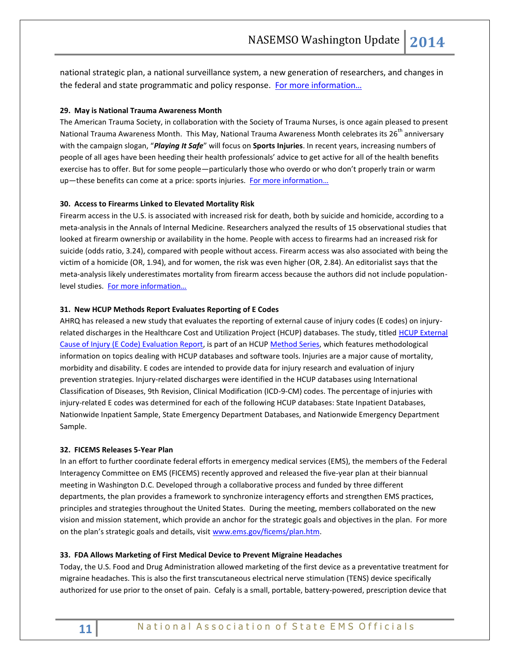national strategic plan, a national surveillance system, a new generation of researchers, and changes in the federal and state programmatic and policy response. [For more information…](http://www.nap.edu/catalog.php?record_id=18331)

# **29. May is National Trauma Awareness Month**

The American Trauma Society, in collaboration with the Society of Trauma Nurses, is once again pleased to present National Trauma Awareness Month. This May, National Trauma Awareness Month celebrates its 26<sup>th</sup> anniversary with the campaign slogan, "*Playing It Safe*" will focus on **Sports Injuries**. In recent years, increasing numbers of people of all ages have been heeding their health professionals' advice to get active for all of the health benefits exercise has to offer. But for some people—particularly those who overdo or who don't properly train or warm up—these benefits can come at a price: sports injuries. For more information...

## **30. Access to Firearms Linked to Elevated Mortality Risk**

Firearm access in the U.S. is associated with increased risk for death, both by suicide and homicide, according to a meta-analysis in the Annals of Internal Medicine. Researchers analyzed the results of 15 observational studies that looked at firearm ownership or availability in the home. People with access to firearms had an increased risk for suicide (odds ratio, 3.24), compared with people without access. Firearm access was also associated with being the victim of a homicide (OR, 1.94), and for women, the risk was even higher (OR, 2.84). An editorialist says that the meta-analysis likely underestimates mortality from firearm access because the authors did not include populationlevel studies. [For more information…](http://annals.org/article.aspx?articleid=1814426)

# **31. New HCUP Methods Report Evaluates Reporting of E Codes**

AHRQ has released a new study that evaluates the reporting of external cause of injury codes (E codes) on injuryrelated discharges in the Healthcare Cost and Utilization Project (HCUP) databases. The study, titled HCUP External [Cause of Injury \(E Code\) Evaluation Report,](http://www.hcup-us.ahrq.gov/reports/methods/2014-01.pdf) is part of an HCU[P Method Series,](http://www.hcup-us.ahrq.gov/reports/methods/methods_topic.jsp) which features methodological information on topics dealing with HCUP databases and software tools. Injuries are a major cause of mortality, morbidity and disability. E codes are intended to provide data for injury research and evaluation of injury prevention strategies. Injury-related discharges were identified in the HCUP databases using International Classification of Diseases, 9th Revision, Clinical Modification (ICD-9-CM) codes. The percentage of injuries with injury-related E codes was determined for each of the following HCUP databases: State Inpatient Databases, Nationwide Inpatient Sample, State Emergency Department Databases, and Nationwide Emergency Department Sample.

# **32. FICEMS Releases 5-Year Plan**

In an effort to further coordinate federal efforts in emergency medical services (EMS), the members of the Federal Interagency Committee on EMS (FICEMS) recently approved and released the five-year plan at their biannual meeting in Washington D.C. Developed through a collaborative process and funded by three different departments, the plan provides a framework to synchronize interagency efforts and strengthen EMS practices, principles and strategies throughout the United States. During the meeting, members collaborated on the new vision and mission statement, which provide an anchor for the strategic goals and objectives in the plan. For more on the plan's strategic goals and details, visit [www.ems.gov/ficems/plan.htm.](http://www.ems.gov/ficems/plan.htm)

#### **33. FDA Allows Marketing of First Medical Device to Prevent Migraine Headaches**

Today, the U.S. Food and Drug Administration allowed marketing of the first device as a preventative treatment for migraine headaches. This is also the first transcutaneous electrical nerve stimulation (TENS) device specifically authorized for use prior to the onset of pain. Cefaly is a small, portable, battery-powered, prescription device that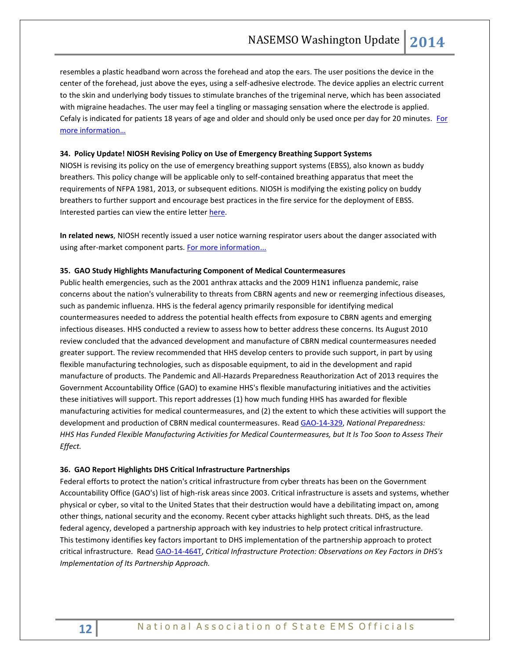resembles a plastic headband worn across the forehead and atop the ears. The user positions the device in the center of the forehead, just above the eyes, using a self-adhesive electrode. The device applies an electric current to the skin and underlying body tissues to stimulate branches of the trigeminal nerve, which has been associated with migraine headaches. The user may feel a tingling or massaging sensation where the electrode is applied. Cefaly is indicated for patients 18 years of age and older and should only be used once per day for 20 minutes. For [more information…](http://www.fda.gov/NewsEvents/Newsroom/PressAnnouncements/ucm388765.htm)

## **34. Policy Update! NIOSH Revising Policy on Use of Emergency Breathing Support Systems**

NIOSH is revising its policy on the use of emergency breathing support systems (EBSS), also known as buddy breathers. This policy change will be applicable only to self-contained breathing apparatus that meet the requirements of NFPA 1981, 2013, or subsequent editions. NIOSH is modifying the existing policy on buddy breathers to further support and encourage best practices in the fire service for the deployment of EBSS. Interested parties can view the entire lette[r here.](http://www.cdc.gov/niosh/npptl/resources/pressrel/letters/InterestedParties/lttr-02182014.html)

**In related news**, NIOSH recently issued a user notice warning respirator users about the danger associated with using after-market component parts[. For more information...](http://www.cdc.gov/niosh/npptl/usernotices/notices/notice02272014.html)

#### **35. GAO Study Highlights Manufacturing Component of Medical Countermeasures**

Public health emergencies, such as the 2001 anthrax attacks and the 2009 H1N1 influenza pandemic, raise concerns about the nation's vulnerability to threats from CBRN agents and new or reemerging infectious diseases, such as pandemic influenza. HHS is the federal agency primarily responsible for identifying medical countermeasures needed to address the potential health effects from exposure to CBRN agents and emerging infectious diseases. HHS conducted a review to assess how to better address these concerns. Its August 2010 review concluded that the advanced development and manufacture of CBRN medical countermeasures needed greater support. The review recommended that HHS develop centers to provide such support, in part by using flexible manufacturing technologies, such as disposable equipment, to aid in the development and rapid manufacture of products. The Pandemic and All-Hazards Preparedness Reauthorization Act of 2013 requires the Government Accountability Office (GAO) to examine HHS's flexible manufacturing initiatives and the activities these initiatives will support. This report addresses (1) how much funding HHS has awarded for flexible manufacturing activities for medical countermeasures, and (2) the extent to which these activities will support the development and production of CBRN medical countermeasures. Read [GAO-14-329,](http://www.gao.gov/products/GAO-14-329) *National Preparedness: HHS Has Funded Flexible Manufacturing Activities for Medical Countermeasures, but It Is Too Soon to Assess Their Effect.*

#### **36. GAO Report Highlights DHS Critical Infrastructure Partnerships**

Federal efforts to protect the nation's critical infrastructure from cyber threats has been on the Government Accountability Office (GAO's) list of high-risk areas since 2003. Critical infrastructure is assets and systems, whether physical or cyber, so vital to the United States that their destruction would have a debilitating impact on, among other things, national security and the economy. Recent cyber attacks highlight such threats. DHS, as the lead federal agency, developed a partnership approach with key industries to help protect critical infrastructure. This testimony identifies key factors important to DHS implementation of the partnership approach to protect critical infrastructure. Read [GAO-14-464T,](http://www.gao.gov/products/GAO-14-464T) *Critical Infrastructure Protection: Observations on Key Factors in DHS's Implementation of Its Partnership Approach.*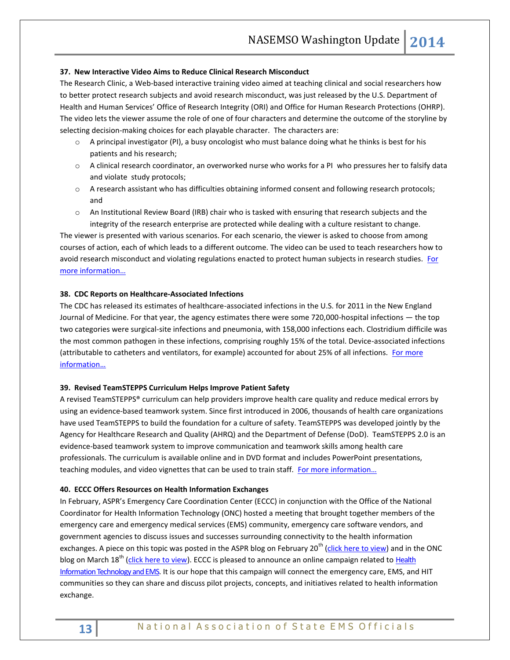## **37. New Interactive Video Aims to Reduce Clinical Research Misconduct**

[The Research Clinic,](http://ori.hhs.gov/TheResearchClinic) a Web-based interactive training video aimed at teaching clinical and social researchers how to better protect research subjects and avoid research misconduct, was just released by the U.S. Department of Health and Human Services' [Office of Research Integrity](http://ori.hhs.gov/) (ORI) and [Office for Human Research Protections](http://www.hhs.gov/ohrp/) (OHRP). The video lets the viewer assume the role of one of four characters and determine the outcome of the storyline by selecting decision-making choices for each playable character. The characters are:

- $\circ$  A principal investigator (PI), a busy oncologist who must balance doing what he thinks is best for his patients and his research;
- o A clinical research coordinator, an overworked nurse who works for a PI who pressures her to falsify data and violate study protocols;
- o A research assistant who has difficulties obtaining informed consent and following research protocols; and
- o An Institutional Review Board (IRB) chair who is tasked with ensuring that research subjects and the integrity of the research enterprise are protected while dealing with a culture resistant to change.

The viewer is presented with various scenarios. For each scenario, the viewer is asked to choose from among courses of action, each of which leads to a different outcome. The video can be used to teach researchers how to avoid research misconduct and violating regulations enacted to protect human subjects in research studies. [For](http://www.hhs.gov/news/press/2014pres/03/20140331a.html)  [more information…](http://www.hhs.gov/news/press/2014pres/03/20140331a.html)

#### **38. CDC Reports on Healthcare-Associated Infections**

The CDC has released its estimates of healthcare-associated infections in the U.S. for 2011 in the New England Journal of Medicine. For that year, the agency estimates there were some 720,000-hospital infections — the top two categories were surgical-site infections and pneumonia, with 158,000 infections each. Clostridium difficile was the most common pathogen in these infections, comprising roughly 15% of the total. Device-associated infections (attributable to catheters and ventilators, for example) accounted for about 25% of all infections. For more [information…](http://www.cdc.gov/HAI/surveillance/index.html)

#### **39. Revised TeamSTEPPS Curriculum Helps Improve Patient Safety**

A revise[d TeamSTEPPS®](http://links.govdelivery.com/track?type=click&enid=ZWFzPTEmbWFpbGluZ2lkPTIwMTQwMzI2LjMwNTc0NzYxJm1lc3NhZ2VpZD1NREItUFJELUJVTC0yMDE0MDMyNi4zMDU3NDc2MSZkYXRhYmFzZWlkPTEwMDEmc2VyaWFsPTE2ODUwODU2JmVtYWlsaWQ9a3JvYmluc29uQGFzbWlpLm5ldCZ1c2VyaWQ9a3JvYmluc29uQGFzbWlpLm5ldCZmbD0mZXh0cmE9TXVsdGl2YXJpYXRlSWQ9JiYm&&&100&&&http://www.ahrq.gov/professionals/education/curriculum-tools/teamstepps/index.html) curriculum can help providers improve health care quality and reduce medical errors by using an evidence-based teamwork system. Since first introduced in 2006, thousands of health care organizations have used TeamSTEPPS to build the foundation for a culture of safety. TeamSTEPPS was developed jointly by the Agency for Healthcare Research and Quality (AHRQ) and the Department of Defense (DoD). TeamSTEPPS 2.0 is an evidence-based teamwork system to improve communication and teamwork skills among health care professionals. The curriculum is available online and in DVD format and includes PowerPoint presentations, teaching modules, and video vignettes that can be used to train staff. For more information...

#### **40. ECCC Offers Resources on Health Information Exchanges**

In February, ASPR's Emergency Care Coordination Center (ECCC) in conjunction with the Office of the National Coordinator for Health Information Technology (ONC) hosted a meeting that brought together members of the emergency care and emergency medical services (EMS) community, emergency care software vendors, and government agencies to discuss issues and successes surrounding connectivity to the health information exchanges. A piece on this topic was posted in the ASPR blog on February 20<sup>th</sup> [\(click here to view\)](http://www.phe.gov/ASPRBlog/Lists/Posts/Post.aspx?ID=82) and in the ONC blog on March 18<sup>th</sup> [\(click here to view\)](http://www.healthit.gov/buzz-blog/health-information-exchange-2/health-technology-ems-aspr-launches-campaign-improve-prehospital-care/). ECCC is pleased to announce an online campaign related to Health Information Technology and EMS. It is our hope that this campaign will connect the emergency care, EMS, and HIT communities so they can share and discuss pilot projects, concepts, and initiatives related to health information exchange.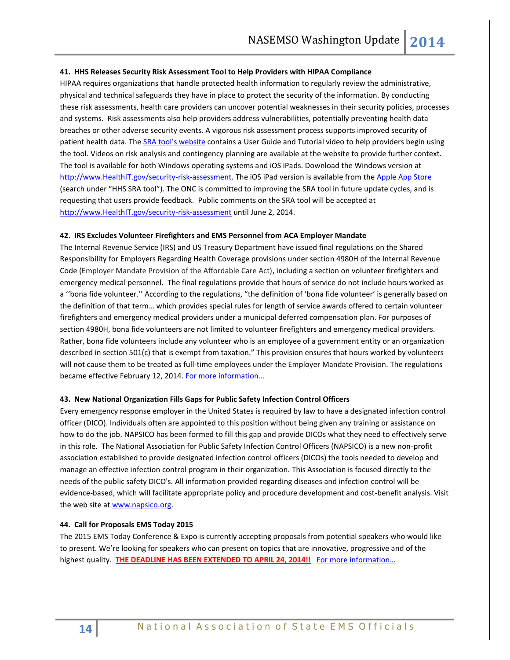#### **41. HHS Releases Security Risk Assessment Tool to Help Providers with HIPAA Compliance**

HIPAA requires organizations that handle protected health information to regularly review the administrative, physical and technical safeguards they have in place to protect the security of the information. By conducting these risk assessments, health care providers can uncover potential weaknesses in their security policies, processes and systems. Risk assessments also help providers address vulnerabilities, potentially preventing health data breaches or other adverse security events. A vigorous risk assessment process supports improved security of patient health data. The [SRA tool's website](http://www.healthit.gov/security-risk-assessment) contains a User Guide and Tutorial video to help providers begin using the tool. Videos on risk analysis and contingency planning are available at the website to provide further context. The tool is available for both Windows operating systems and iOS iPads. Download the Windows version at [http://www.HealthIT.gov/security-risk-assessment.](http://www.healthit.gov/security-risk-assessment) The iOS iPad version is available from th[e Apple App Store](https://itunes.apple.com/us/app/hhs-sra-tool/id820478630?ls=1&mt=8) (search under "HHS SRA tool"). The ONC is committed to improving the SRA tool in future update cycles, and is requesting that users provide feedback. Public comments on the SRA tool will be accepted at [http://www.HealthIT.gov/security-risk-assessment](http://www.healthit.gov/security-risk-assessment) until June 2, 2014.

#### **42. IRS Excludes Volunteer Firefighters and EMS Personnel from ACA Employer Mandate**

The Internal Revenue Service (IRS) and US Treasury Department have issued [final regulations](http://apps.irs.gov/app/scripts/exit.jsp?dest=http://www.gpo.gov/fdsys/pkg/FR-2014-02-12/pdf/2014-03082.pdf) on the Shared Responsibility for Employers Regarding Health Coverage provisions under section 4980H of the Internal Revenue Code (Employer Mandate Provision of the Affordable Care Act), including a section on volunteer firefighters and emergency medical personnel. The final regulations provide that hours of service do not include hours worked as a ''bona fide volunteer.'' According to the regulations, "the definition of 'bona fide volunteer' is generally based on the definition of that term… which provides special rules for length of service awards offered to certain volunteer firefighters and emergency medical providers under a municipal deferred compensation plan. For purposes of section 4980H, bona fide volunteers are not limited to volunteer firefighters and emergency medical providers. Rather, bona fide volunteers include any volunteer who is an employee of a government entity or an organization described in section 501(c) that is exempt from taxation." This provision ensures that hours worked by volunteers will not cause them to be treated as full-time employees under the Employer Mandate Provision. The regulations became effective February 12, 2014. For more information...

#### **43. New National Organization Fills Gaps for Public Safety Infection Control Officers**

Every emergency response employer in the United States is required by law to have a designated infection control officer (DICO). Individuals often are appointed to this position without being given any training or assistance on how to do the job. NAPSICO has been formed to fill this gap and provide DICOs what they need to effectively serve in this role. The National Association for Public Safety Infection Control Officers (NAPSICO) is a new non-profit association established to provide designated infection control officers (DICOs) the tools needed to develop and manage an effective infection control program in their organization. This Association is focused directly to the needs of the public safety DICO's. All information provided regarding diseases and infection control will be evidence-based, which will facilitate appropriate policy and procedure development and cost-benefit analysis. Visit the web site a[t www.napsico.org.](http://www.napsico.org/)

#### **44. Call for Proposals EMS Today 2015**

The 2015 EMS Today Conference & Expo is currently accepting proposals from potential speakers who would like to present. We're looking for speakers who can present on topics that are innovative, progressive and of the highest quality. **THE DEADLINE HAS BEEN EXTENDED TO APRIL 24, 2014!!** For more information...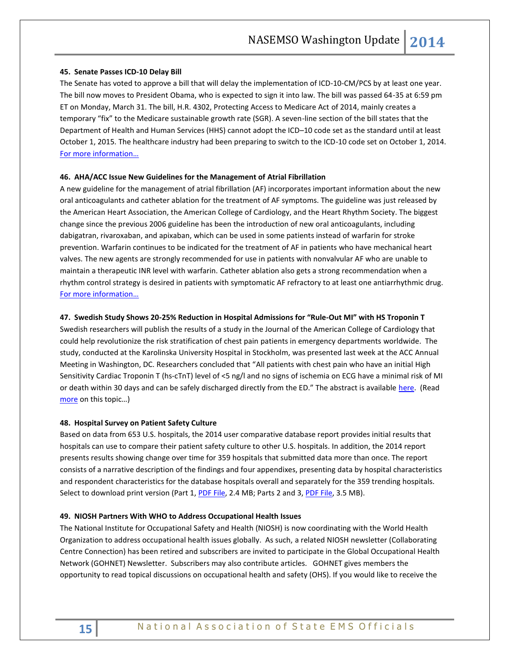#### **45. Senate Passes ICD-10 Delay Bill**

The Senate has voted to approve a bill that will delay the implementation of ICD-10-CM/PCS by at least one year. The bill now moves to President Obama, who is expected to sign it into law. The bill was passed 64-35 at 6:59 pm ET on Monday, March 31. The bill, H.R. 4302, Protecting Access to Medicare Act of 2014, mainly creates a temporary "fix" to the Medicare sustainable growth rate (SGR). A seven-line section of the bill states that the Department of Health and Human Services (HHS) cannot adopt the ICD–10 code set as the standard until at least October 1, 2015. The healthcare industry had been preparing to switch to the ICD-10 code set on October 1, 2014. [For more information…](https://www.govtrack.us/congress/bills/113/hr4302/text)

# **46. AHA/ACC Issue New Guidelines for the Management of Atrial Fibrillation**

A new guideline for the management of atrial fibrillation (AF) incorporates important information about the new oral anticoagulants and catheter ablation for the treatment of AF symptoms. The guideline was just released by the American Heart Association, the American College of Cardiology, and the Heart Rhythm Society. The biggest change since the previous 2006 guideline has been the introduction of new oral anticoagulants, including dabigatran, rivaroxaban, and apixaban, which can be used in some patients instead of warfarin for stroke prevention. Warfarin continues to be indicated for the treatment of AF in patients who have mechanical heart valves. The new agents are strongly recommended for use in patients with nonvalvular AF who are unable to maintain a therapeutic INR level with warfarin. Catheter ablation also gets a strong recommendation when a rhythm control strategy is desired in patients with symptomatic AF refractory to at least one antiarrhythmic drug. [For more information…](http://circ.ahajournals.org/content/early/2014/03/27/CIR.0000000000000041.full.pdf+html)

# **47. Swedish Study Shows 20-25% Reduction in Hospital Admissions for "Rule-Out MI" with HS Troponin T**

Swedish researchers will publish the results of a study in the Journal of the American College of Cardiology that could help revolutionize the risk stratification of chest pain patients in emergency departments worldwide. The study, conducted at the Karolinska University Hospital in Stockholm, was presented last week at the ACC Annual Meeting in Washington, DC. Researchers concluded that "All patients with chest pain who have an initial High Sensitivity Cardiac Troponin T (hs-cTnT) level of <5 ng/l and no signs of ischemia on ECG have a minimal risk of MI or death within 30 days and can be safely discharged directly from the ED." The abstract is available [here.](http://content.onlinejacc.org/article.aspx?articleid=1854323&resultClick=3) (Read [more](http://www.medscape.com/viewarticle/822859) on this topic…)

#### **48. Hospital Survey on Patient Safety Culture**

Based on data from 653 U.S. hospitals, the 2014 user comparative database report provides initial results that hospitals can use to compare their patient safety culture to other U.S. hospitals. In addition, the 2014 report presents results showing change over time for 359 hospitals that submitted data more than once. The report consists of a narrative description of the findings and four appendixes, presenting data by hospital characteristics and respondent characteristics for the database hospitals overall and separately for the 359 trending hospitals. Select to download print version (Part 1, [PDF File,](http://www.ahrq.gov/professionals/quality-patient-safety/patientsafetyculture/hospital/2014/hsops14pt1.pdf) 2.4 MB; Parts 2 and 3, [PDF File,](http://www.ahrq.gov/professionals/quality-patient-safety/patientsafetyculture/hospital/2014/hsops14pt23.pdf) 3.5 MB).

#### **49. NIOSH Partners With WHO to Address Occupational Health Issues**

The National Institute for Occupational Safety and Health (NIOSH) is now coordinating with the World Health Organization to address occupational health issues globally. As such, a related NIOSH newsletter (Collaborating Centre Connection) has been retired and subscribers are invited to participate in the Global Occupational Health Network (GOHNET) Newsletter. Subscribers may also contribute articles. GOHNET gives members the opportunity to read topical discussions on occupational health and safety (OHS). If you would like to receive the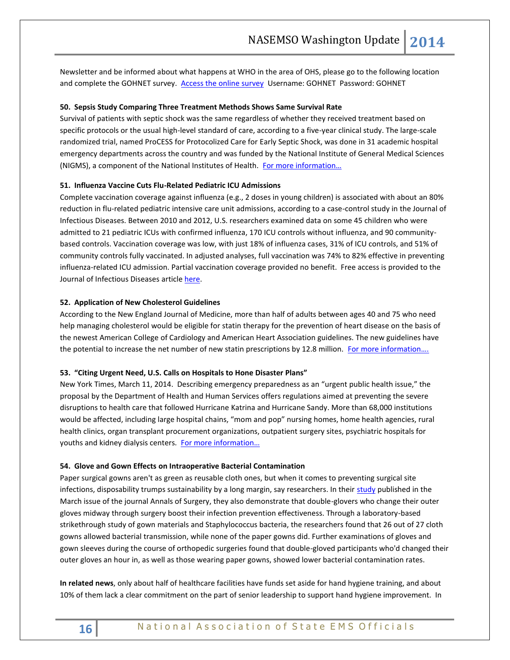Newsletter and be informed about what happens at WHO in the area of OHS, please go to the following location and complete the GOHNET survey. [Access the online survey](https://extranet.who.int/datacol/survey.asp?survey_id=1451) Username: GOHNET Password: GOHNET

## **50. Sepsis Study Comparing Three Treatment Methods Shows Same Survival Rate**

Survival of patients with septic shock was the same regardless of whether they received treatment based on specific protocols or the usual high-level standard of care, according to a five-year clinical study. The large-scale randomized trial, named ProCESS for Protocolized Care for Early Septic Shock, was done in 31 academic hospital emergency departments across the country and was funded by the National Institute of General Medical Sciences (NIGMS), a component of the National Institutes of Health. For more information...

# **51. Influenza Vaccine Cuts Flu-Related Pediatric ICU Admissions**

Complete vaccination coverage against influenza (e.g., 2 doses in young children) is associated with about an 80% reduction in flu-related pediatric intensive care unit admissions, according to a case-control study in the Journal of Infectious Diseases. Between 2010 and 2012, U.S. researchers examined data on some 45 children who were admitted to 21 pediatric ICUs with confirmed influenza, 170 ICU controls without influenza, and 90 communitybased controls. Vaccination coverage was low, with just 18% of influenza cases, 31% of ICU controls, and 51% of community controls fully vaccinated. In adjusted analyses, full vaccination was 74% to 82% effective in preventing influenza-related ICU admission. Partial vaccination coverage provided no benefit. Free access is provided to the Journal of Infectious Diseases articl[e here.](http://jid.oxfordjournals.org/content/early/2014/03/23/infdis.jiu185.full.pdf+html)

## **52. Application of New Cholesterol Guidelines**

According to the New England Journal of Medicine, more than half of adults between ages 40 and 75 who need help managing cholesterol would be eligible for statin therapy for the prevention of heart disease on the basis of the newest American College of Cardiology and American Heart Association guidelines. The new guidelines have the potential to increase the net number of new statin prescriptions by 12.8 million. For more information....

#### **53. "Citing Urgent Need, U.S. Calls on Hospitals to Hone Disaster Plans"**

New York Times, March 11, 2014. Describing emergency preparedness as an "urgent public health issue," the proposal by the Department of Health and Human Services offers regulations aimed at preventing the severe disruptions to health care that followed Hurricane Katrina and Hurricane Sandy. More than 68,000 institutions would be affected, including large hospital chains, "mom and pop" nursing homes, home health agencies, rural health clinics, organ transplant procurement organizations, outpatient surgery sites, psychiatric hospitals for youths and kidney dialysis centers. For more information...

#### **54. Glove and Gown Effects on Intraoperative Bacterial Contamination**

Paper surgical gowns aren't as green as reusable cloth ones, but when it comes to preventing surgical site infections, disposability trumps sustainability by a long margin, say researchers. In their [study](http://journals.lww.com/annalsofsurgery/Abstract/2014/03000/Glove_and_Gown_Effects_on_Intraoperative_Bacterial.26.aspx) published in the March issue of the journal Annals of Surgery, they also demonstrate that double-glovers who change their outer gloves midway through surgery boost their infection prevention effectiveness. Through a laboratory-based strikethrough study of gown materials and Staphylococcus bacteria, the researchers found that 26 out of 27 cloth gowns allowed bacterial transmission, while none of the paper gowns did. Further examinations of gloves and gown sleeves during the course of orthopedic surgeries found that double-gloved participants who'd changed their outer gloves an hour in, as well as those wearing paper gowns, showed lower bacterial contamination rates.

**In related news**, only about half of healthcare facilities have funds set aside for hand hygiene training, and about 10% of them lack a clear commitment on the part of senior leadership to support hand hygiene improvement. In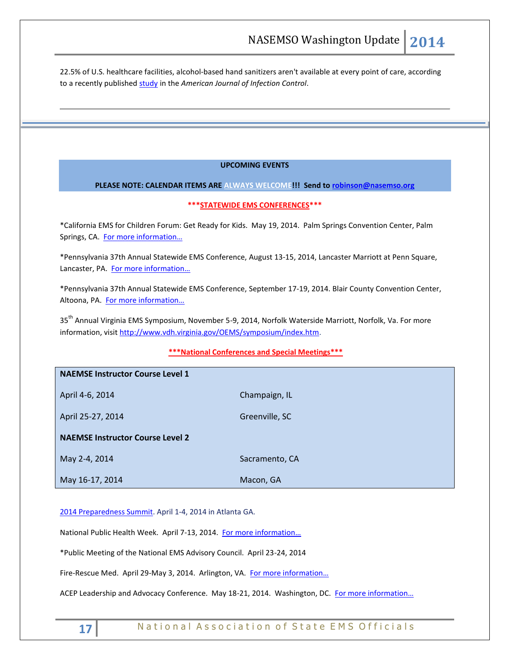22.5% of U.S. healthcare facilities, alcohol-based hand sanitizers aren't available at every point of care, according to a recently published [study](http://www.apic.org/For-Media/News-Releases/Article?id=cebfb182-af4e-4d3b-ab2e-4c96953b5674) in the *American Journal of Infection Control*.

# **UPCOMING EVENTS**

# **PLEASE NOTE: CALENDAR ITEMS ARE ALWAYS WELCOME!!! Send t[o robinson@nasemso.org](mailto:robinson@nasemso.org)**

#### **\*\*\*STATEWIDE EMS CONFERENCES\*\*\***

\*California EMS for Children Forum: Get Ready for Kids. May 19, 2014. Palm Springs Convention Center, Palm Springs, CA. For more information...

\*Pennsylvania 37th Annual Statewide EMS Conference, August 13-15, 2014, Lancaster Marriott at Penn Square, Lancaster, PA. For more information...

\*Pennsylvania 37th Annual Statewide EMS Conference, September 17-19, 2014. Blair County Convention Center, Altoona, PA. [For more information…](http://www.pehsc.org/)

35<sup>th</sup> Annual Virginia EMS Symposium, November 5-9, 2014, Norfolk Waterside Marriott, Norfolk, Va. For more information, visit [http://www.vdh.virginia.gov/OEMS/symposium/index.htm.](http://www.vdh.virginia.gov/OEMS/symposium/index.htm)

# **\*\*\*National Conferences and Special Meetings\*\*\***

| <b>NAEMSE Instructor Course Level 1</b> |                |
|-----------------------------------------|----------------|
| April 4-6, 2014                         | Champaign, IL  |
| April 25-27, 2014                       | Greenville, SC |
| <b>NAEMSE Instructor Course Level 2</b> |                |
| May 2-4, 2014                           | Sacramento, CA |
| May 16-17, 2014                         | Macon, GA      |

# [2014 Preparedness Summit.](http://preparednesssummit.org/) April 1-4, 2014 in Atlanta GA.

National Public Health Week. April 7-13, 2014. [For more information…](http://www.nphw.org/2014)

\*Public Meeting of the National EMS Advisory Council. April 23-24, 2014

Fire-Rescue Med. April 29-May 3, 2014. Arlington, VA. For more information...

ACEP Leadership and Advocacy Conference. May 18-21, 2014. Washington, DC. For more information...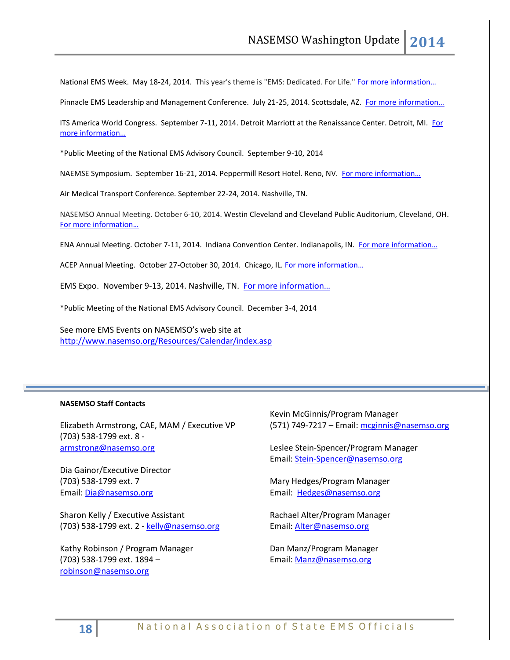National EMS Week. May 18-24, 2014. This year's theme is "EMS: Dedicated. For Life." For more information...

Pinnacle EMS Leadership and Management Conference. July 21-25, 2014. Scottsdale, AZ. For more information...

ITS America World Congress. September 7-11, 2014. Detroit Marriott at the Renaissance Center. Detroit, MI. For [more information…](http://itsworldcongress.org/)

\*Public Meeting of the National EMS Advisory Council. September 9-10, 2014

NAEMSE Symposium. September 16-21, 2014. Peppermill Resort Hotel. Reno, NV. For more information...

Air Medical Transport Conference. September 22-24, 2014. Nashville, TN.

NASEMSO Annual Meeting. October 6-10, 2014. Westin Cleveland and Cleveland Public Auditorium, Cleveland, OH. [For more information…](http://www.nasemso.org/Meetings/Annual/AnnualMeeting2014.asp)

ENA Annual Meeting. October 7-11, 2014. Indiana Convention Center. Indianapolis, IN. For more information...

ACEP Annual Meeting. October 27-October 30, 2014. Chicago, IL. For more information...

EMS Expo. November 9-13, 2014. Nashville, TN. [For more information…](http://emsworldexpo.com/)

\*Public Meeting of the National EMS Advisory Council. December 3-4, 2014

See more EMS Events on NASEMSO's web site at <http://www.nasemso.org/Resources/Calendar/index.asp>

# **NASEMSO Staff Contacts**

Elizabeth Armstrong, CAE, MAM / Executive VP (703) 538-1799 ext. 8 [armstrong@nasemso.org](mailto:armstrong@nasemso.org)

Dia Gainor/Executive Director (703) 538-1799 ext. 7 Email: [Dia@nasemso.org](mailto:Dia@nasemso.org)

Sharon Kelly / Executive Assistant (703) 538-1799 ext. 2 - [kelly@nasemso.org](mailto:kelly@nasemso.org)

Kathy Robinson / Program Manager (703) 538-1799 ext. 1894 – [robinson@nasemso.org](mailto:robinson@nasemso.org)

Kevin McGinnis/Program Manager (571) 749-7217 – Email[: mcginnis@nasemso.org](mailto:mcginnis@nasemso.org)

Leslee Stein-Spencer/Program Manager Email: [Stein-Spencer@nasemso.org](mailto:Stein-Spencer@nasemso.org)

Mary Hedges/Program Manager Email: [Hedges@nasemso.org](mailto:Hedges@nasemso.org)

Rachael Alter/Program Manager Email: [Alter@nasemso.org](mailto:Alter@nasemso.org) 

Dan Manz/Program Manager Email: [Manz@nasemso.org](mailto:Manz@nasemso.org)